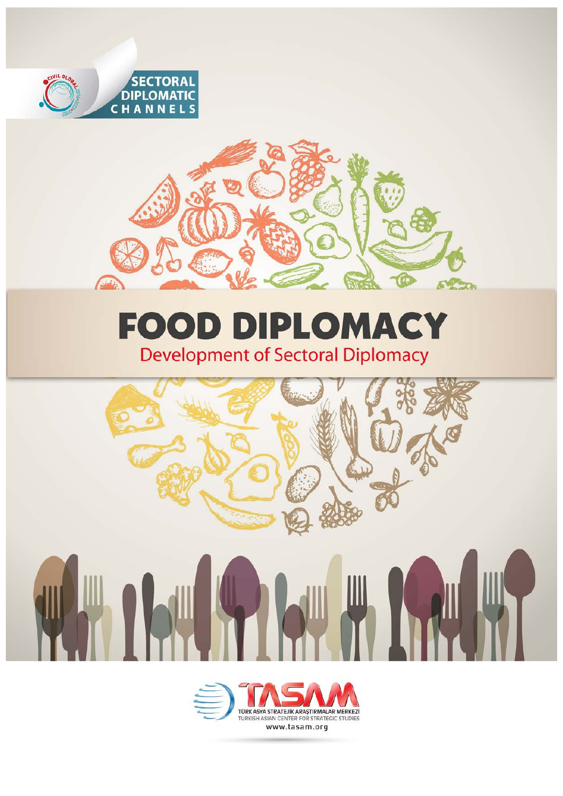



# **FOOD DIPLOMACY**<br>Development of Sectoral Diplomacy



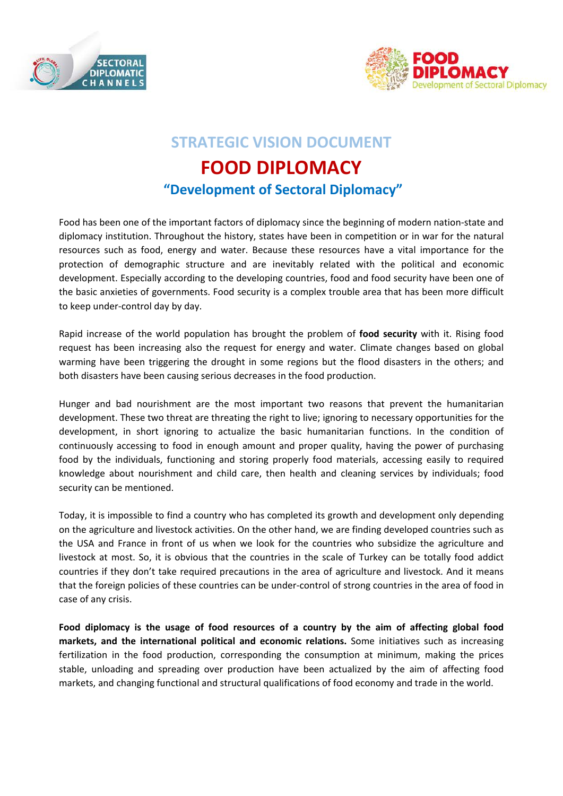



## **STRATEGIC VISION DOCUMENT**

## **FOOD DIPLOMACY "Development of Sectoral Diplomacy"**

Food has been one of the important factors of diplomacy since the beginning of modern nation-state and diplomacy institution. Throughout the history, states have been in competition or in war for the natural resources such as food, energy and water. Because these resources have a vital importance for the protection of demographic structure and are inevitably related with the political and economic development. Especially according to the developing countries, food and food security have been one of the basic anxieties of governments. Food security is a complex trouble area that has been more difficult to keep under-control day by day.

Rapid increase of the world population has brought the problem of **food security** with it. Rising food request has been increasing also the request for energy and water. Climate changes based on global warming have been triggering the drought in some regions but the flood disasters in the others; and both disasters have been causing serious decreases in the food production.

Hunger and bad nourishment are the most important two reasons that prevent the humanitarian development. These two threat are threating the right to live; ignoring to necessary opportunities for the development, in short ignoring to actualize the basic humanitarian functions. In the condition of continuously accessing to food in enough amount and proper quality, having the power of purchasing food by the individuals, functioning and storing properly food materials, accessing easily to required knowledge about nourishment and child care, then health and cleaning services by individuals; food security can be mentioned.

Today, it is impossible to find a country who has completed its growth and development only depending on the agriculture and livestock activities. On the other hand, we are finding developed countries such as the USA and France in front of us when we look for the countries who subsidize the agriculture and livestock at most. So, it is obvious that the countries in the scale of Turkey can be totally food addict countries if they don't take required precautions in the area of agriculture and livestock. And it means that the foreign policies of these countries can be under-control of strong countries in the area of food in case of any crisis.

**Food diplomacy is the usage of food resources of a country by the aim of affecting global food markets, and the international political and economic relations.** Some initiatives such as increasing fertilization in the food production, corresponding the consumption at minimum, making the prices stable, unloading and spreading over production have been actualized by the aim of affecting food markets, and changing functional and structural qualifications of food economy and trade in the world.